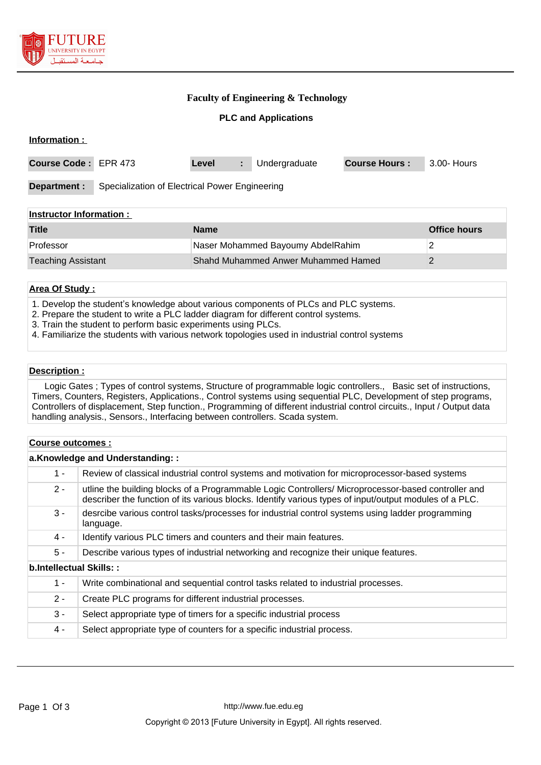

# **Faculty of Engineering & Technology**

**PLC and Applications**

| Information :                                                  |  |             |    |               |                      |                     |
|----------------------------------------------------------------|--|-------------|----|---------------|----------------------|---------------------|
| Course Code: EPR 473                                           |  | Level       | ÷. | Undergraduate | <b>Course Hours:</b> | 3.00- Hours         |
| Department :<br>Specialization of Electrical Power Engineering |  |             |    |               |                      |                     |
| Instructor Information:                                        |  |             |    |               |                      |                     |
| <b>Title</b>                                                   |  | <b>Name</b> |    |               |                      | <b>Office hours</b> |

| ा । धट                    | маше                                | <b>UILLE HUULS</b> |
|---------------------------|-------------------------------------|--------------------|
| Professor                 | Naser Mohammed Bayoumy AbdelRahim   |                    |
| <b>Teaching Assistant</b> | Shahd Muhammed Anwer Muhammed Hamed |                    |

#### **Area Of Study :**

- 1. Develop the student's knowledge about various components of PLCs and PLC systems.
- 2. Prepare the student to write a PLC ladder diagram for different control systems.
- 3. Train the student to perform basic experiments using PLCs.
- 4. Familiarize the students with various network topologies used in industrial control systems

#### **Description :**

 Logic Gates ; Types of control systems, Structure of programmable logic controllers., Basic set of instructions, Timers, Counters, Registers, Applications., Control systems using sequential PLC, Development of step programs, Controllers of displacement, Step function., Programming of different industrial control circuits., Input / Output data handling analysis., Sensors., Interfacing between controllers. Scada system.

#### **Course outcomes :**

| a.Knowledge and Understanding:: |                                                                                                                                                                                                              |  |  |  |
|---------------------------------|--------------------------------------------------------------------------------------------------------------------------------------------------------------------------------------------------------------|--|--|--|
| $1 -$                           | Review of classical industrial control systems and motivation for microprocessor-based systems                                                                                                               |  |  |  |
| $2 -$                           | utline the building blocks of a Programmable Logic Controllers/Microprocessor-based controller and<br>describer the function of its various blocks. Identify various types of input/output modules of a PLC. |  |  |  |
| $3 -$                           | desrcibe various control tasks/processes for industrial control systems using ladder programming<br>language.                                                                                                |  |  |  |
| 4 -                             | Identify various PLC timers and counters and their main features.                                                                                                                                            |  |  |  |
| $5 -$                           | Describe various types of industrial networking and recognize their unique features.                                                                                                                         |  |  |  |
| b.Intellectual Skills::         |                                                                                                                                                                                                              |  |  |  |
| $1 -$                           | Write combinational and sequential control tasks related to industrial processes.                                                                                                                            |  |  |  |
| $2 -$                           | Create PLC programs for different industrial processes.                                                                                                                                                      |  |  |  |
| $3 -$                           | Select appropriate type of timers for a specific industrial process                                                                                                                                          |  |  |  |
| 4 -                             | Select appropriate type of counters for a specific industrial process.                                                                                                                                       |  |  |  |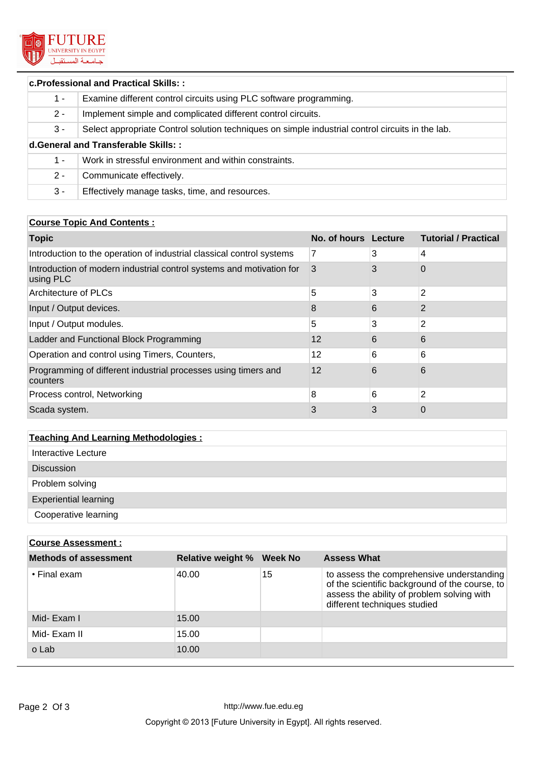

# **c.Professional and Practical Skills: :**

| 1 -                                 | Examine different control circuits using PLC software programming.                               |  |  |  |
|-------------------------------------|--------------------------------------------------------------------------------------------------|--|--|--|
| $2 -$                               | Implement simple and complicated different control circuits.                                     |  |  |  |
| $3 -$                               | Select appropriate Control solution techniques on simple industrial control circuits in the lab. |  |  |  |
| d.General and Transferable Skills:: |                                                                                                  |  |  |  |
| 1 -                                 | Work in stressful environment and within constraints.                                            |  |  |  |
| 2 -                                 | Communicate effectively.                                                                         |  |  |  |
| $3 -$                               | Effectively manage tasks, time, and resources.                                                   |  |  |  |

# **Course Topic And Contents :**

| <b>Topic</b>                                                                      | No. of hours Lecture |   | <b>Tutorial / Practical</b> |
|-----------------------------------------------------------------------------------|----------------------|---|-----------------------------|
| Introduction to the operation of industrial classical control systems             | 7                    | 3 | 4                           |
| Introduction of modern industrial control systems and motivation for<br>using PLC | 3                    | 3 | 0                           |
| Architecture of PLCs                                                              | 5                    | 3 | 2                           |
| Input / Output devices.                                                           | 8                    | 6 | 2                           |
| Input / Output modules.                                                           | 5                    | 3 | 2                           |
| Ladder and Functional Block Programming                                           | 12                   | 6 | 6                           |
| Operation and control using Timers, Counters,                                     | 12                   | 6 | 6                           |
| Programming of different industrial processes using timers and<br>counters        | 12                   | 6 | 6                           |
| Process control, Networking                                                       | 8                    | 6 | 2                           |
| Scada system.                                                                     | 3                    | 3 | 0                           |

# **Teaching And Learning Methodologies :**

| <b>Course Assessment:</b>    |                          |         |                                                                                                                                                                           |  |
|------------------------------|--------------------------|---------|---------------------------------------------------------------------------------------------------------------------------------------------------------------------------|--|
| <b>Methods of assessment</b> | <b>Relative weight %</b> | Week No | <b>Assess What</b>                                                                                                                                                        |  |
| $\cdot$ Final exam           | 40.00                    | 15      | to assess the comprehensive understanding<br>of the scientific background of the course, to<br>assess the ability of problem solving with<br>different techniques studied |  |
| Mid-Exam I                   | 15.00                    |         |                                                                                                                                                                           |  |
| Mid- Exam II                 | 15.00                    |         |                                                                                                                                                                           |  |
| o Lab                        | 10.00                    |         |                                                                                                                                                                           |  |